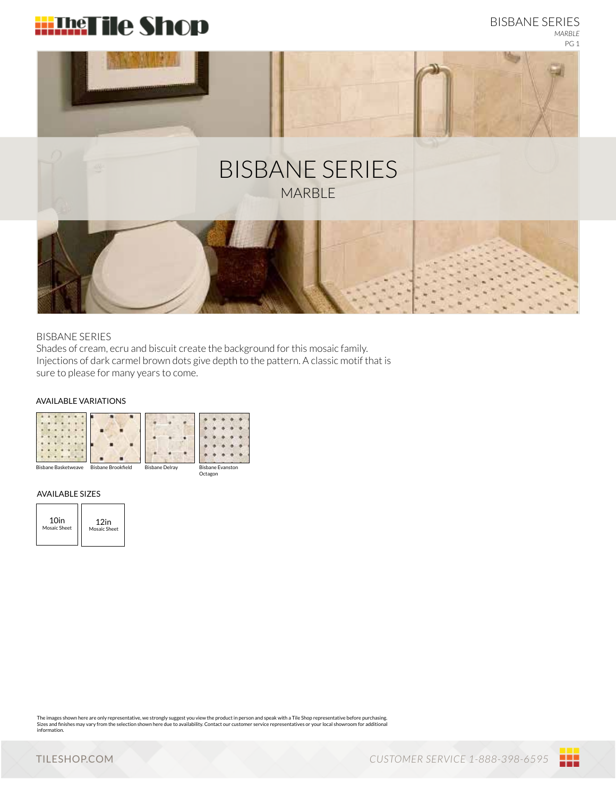



## BISBANE SERIES

Shades of cream, ecru and biscuit create the background for this mosaic family. Injections of dark carmel brown dots give depth to the pattern. A classic motif that is sure to please for many years to come.

### AVAILABLE VARIATIONS



#### AVAILABLE SIZES

| 10 <sub>in</sub> | 12in         |
|------------------|--------------|
| Mosaic Sheet     | Mosaic Sheet |

The images shown here are only representative, we strongly suggest you view the product in person and speak with a Tile Shop representative before purchasing.<br>Sizes and finishes may vary from the selection shown here due t